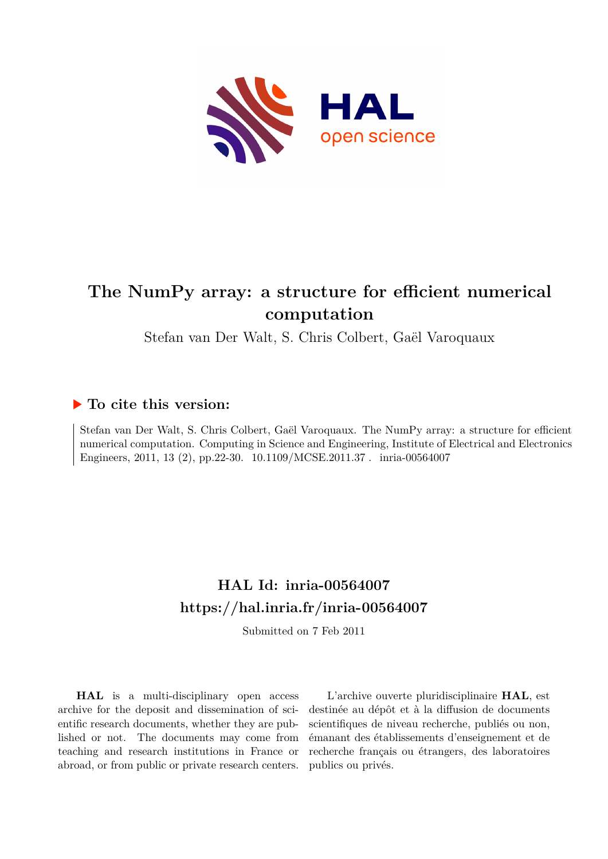

# **The NumPy array: a structure for efficient numerical computation**

Stefan van Der Walt, S. Chris Colbert, Gaël Varoquaux

# **To cite this version:**

Stefan van Der Walt, S. Chris Colbert, Gaël Varoquaux. The NumPy array: a structure for efficient numerical computation. Computing in Science and Engineering, Institute of Electrical and Electronics Engineers, 2011, 13 (2), pp.22-30. 10.1109/MCSE.2011.37 . inria-00564007

# **HAL Id: inria-00564007 <https://hal.inria.fr/inria-00564007>**

Submitted on 7 Feb 2011

**HAL** is a multi-disciplinary open access archive for the deposit and dissemination of scientific research documents, whether they are published or not. The documents may come from teaching and research institutions in France or abroad, or from public or private research centers.

L'archive ouverte pluridisciplinaire **HAL**, est destinée au dépôt et à la diffusion de documents scientifiques de niveau recherche, publiés ou non, émanant des établissements d'enseignement et de recherche français ou étrangers, des laboratoires publics ou privés.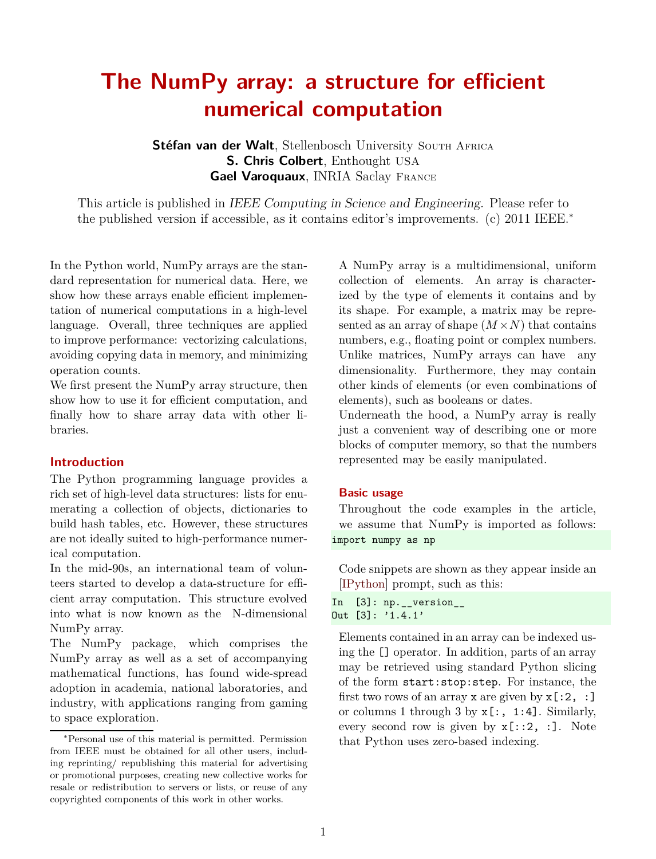# **The NumPy array: a structure for efficient numerical computation**

Stéfan van der Walt. Stellenbosch University South Africa **S. Chris Colbert**, Enthought USA **Gael Varoquaux**, INRIA Saclay France

This article is published in IEEE Computing in Science and Engineering. Please refer to the published version if accessible, as it contains editor's improvements. (c) 2011 IEEE.<sup>∗</sup>

In the Python world, NumPy arrays are the standard representation for numerical data. Here, we show how these arrays enable efficient implementation of numerical computations in a high-level language. Overall, three techniques are applied to improve performance: vectorizing calculations, avoiding copying data in memory, and minimizing operation counts.

We first present the NumPy array structure, then show how to use it for efficient computation, and finally how to share array data with other libraries.

#### **Introduction**

The Python programming language provides a rich set of high-level data structures: lists for enumerating a collection of objects, dictionaries to build hash tables, etc. However, these structures are not ideally suited to high-performance numerical computation.

In the mid-90s, an international team of volunteers started to develop a data-structure for efficient array computation. This structure evolved into what is now known as the N-dimensional NumPy array.

The NumPy package, which comprises the NumPy array as well as a set of accompanying mathematical functions, has found wide-spread adoption in academia, national laboratories, and industry, with applications ranging from gaming to space exploration.

A NumPy array is a multidimensional, uniform collection of elements. An array is characterized by the type of elements it contains and by its shape. For example, a matrix may be represented as an array of shape  $(M \times N)$  that contains numbers, e.g., floating point or complex numbers. Unlike matrices, NumPy arrays can have any dimensionality. Furthermore, they may contain other kinds of elements (or even combinations of elements), such as booleans or dates.

Underneath the hood, a NumPy array is really just a convenient way of describing one or more blocks of computer memory, so that the numbers represented may be easily manipulated.

#### **Basic usage**

Throughout the code examples in the article, we assume that NumPy is imported as follows: import numpy as np

Code snippets are shown as they appear inside an [\[IPython\]](#page-8-0) prompt, such as this:

```
In [3]: np.__version__
Out [3]: '1.4.1'
```
Elements contained in an array can be indexed using the [] operator. In addition, parts of an array may be retrieved using standard Python slicing of the form start:stop:step. For instance, the first two rows of an array x are given by  $x$ [:2, :] or columns 1 through 3 by  $x$ [:, 1:4]. Similarly, every second row is given by  $x$ [::2, :]. Note that Python uses zero-based indexing.

<sup>∗</sup>Personal use of this material is permitted. Permission from IEEE must be obtained for all other users, including reprinting/ republishing this material for advertising or promotional purposes, creating new collective works for resale or redistribution to servers or lists, or reuse of any copyrighted components of this work in other works.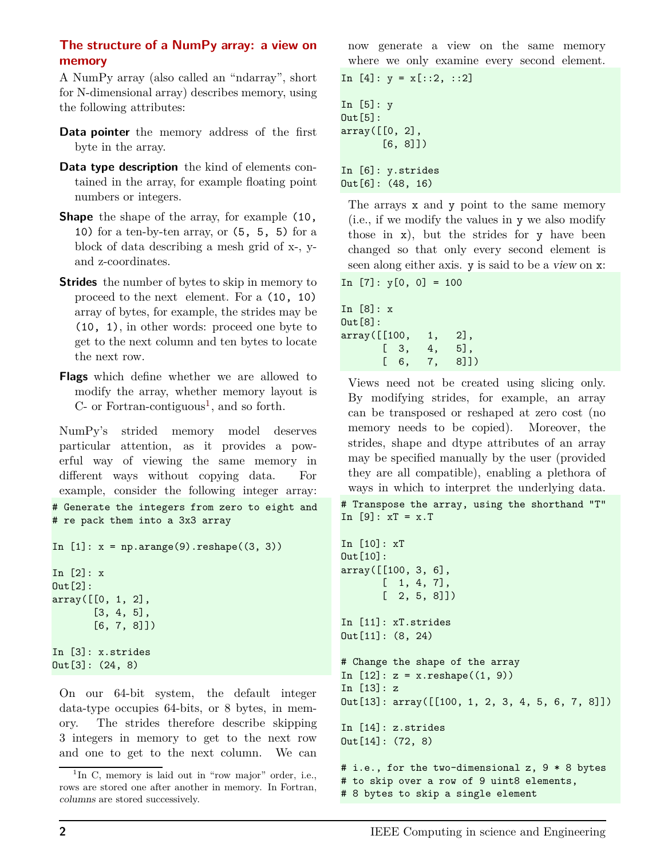# **The structure of a NumPy array: a view on memory**

A NumPy array (also called an "ndarray", short for N-dimensional array) describes memory, using the following attributes:

- **Data pointer** the memory address of the first byte in the array.
- **Data type description** the kind of elements contained in the array, for example floating point numbers or integers.
- **Shape** the shape of the array, for example  $(10, 10)$ 10) for a ten-by-ten array, or (5, 5, 5) for a block of data describing a mesh grid of x-, yand z-coordinates.
- **Strides** the number of bytes to skip in memory to proceed to the next element. For a (10, 10) array of bytes, for example, the strides may be (10, 1), in other words: proceed one byte to get to the next column and ten bytes to locate the next row.
- **Flags** which define whether we are allowed to modify the array, whether memory layout is  $C$ - or Fortran-contiguous<sup>[1](#page-2-0)</sup>, and so forth.

NumPy's strided memory model deserves particular attention, as it provides a powerful way of viewing the same memory in different ways without copying data. For example, consider the following integer array: # Generate the integers from zero to eight and # re pack them into a 3x3 array

```
In [1]: x = np.arange(9).reshape((3, 3))
```
In [2]: x Out[2]: array([[0, 1, 2], [3, 4, 5], [6, 7, 8]]) In [3]: x.strides Out[3]: (24, 8)

On our 64-bit system, the default integer data-type occupies 64-bits, or 8 bytes, in memory. The strides therefore describe skipping 3 integers in memory to get to the next row and one to get to the next column. We can now generate a view on the same memory where we only examine every second element.

```
In [4]: y = x[::2, ::2]
In [5]: y
Out[5]:
array([[0, 2],
       [6, 8]])
In [6]: y.strides
Out[6]: (48, 16)
```
The arrays x and y point to the same memory (i.e., if we modify the values in y we also modify those in x), but the strides for y have been changed so that only every second element is seen along either axis. y is said to be a view on x:

```
In [7]: y[0, 0] = 100
```
In [8]: x Out[8]: array([[100, 1, 2], [ 3, 4, 5], [ 6, 7, 8]])

Views need not be created using slicing only. By modifying strides, for example, an array can be transposed or reshaped at zero cost (no memory needs to be copied). Moreover, the strides, shape and dtype attributes of an array may be specified manually by the user (provided they are all compatible), enabling a plethora of ways in which to interpret the underlying data. # Transpose the array, using the shorthand "T" In  $[9]$ :  $xT = x.T$ 

```
In [10]: xT
Out[10]:
array([[100, 3, 6],
       [ 1, 4, 7],
       [2, 5, 8]]In [11]: xT.strides
Out[11]: (8, 24)
# Change the shape of the array
In [12]: z = x. reshape((1, 9))In [13]: z
Out[13]: array([[100, 1, 2, 3, 4, 5, 6, 7, 8]])
In [14]: z.strides
Out[14]: (72, 8)
# i.e., for the two-dimensional z, 9 * 8 bytes
# to skip over a row of 9 uint8 elements,
```
# 8 bytes to skip a single element

<span id="page-2-0"></span><sup>&</sup>lt;sup>1</sup>In C, memory is laid out in "row major" order, i.e., rows are stored one after another in memory. In Fortran, columns are stored successively.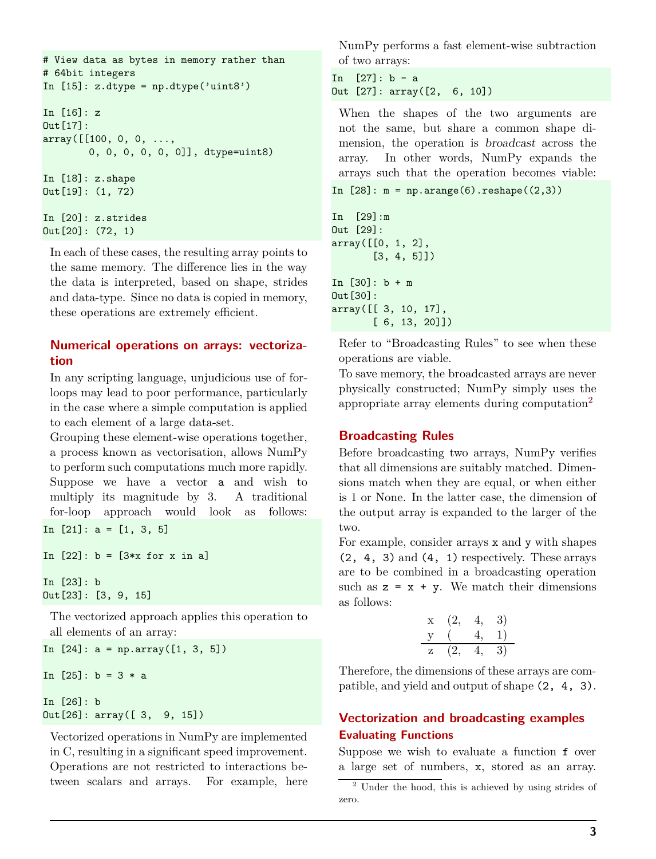```
# View data as bytes in memory rather than
# 64bit integers
In [15]: z.dtype = np.dtype('uint8')
In [16]: z
Out[17]:
array([[100, 0, 0, ...,
        0, 0, 0, 0, 0, 0]], dtype=uint8)
In [18]: z.shape
Out[19]: (1, 72)
In [20]: z.strides
Out[20]: (72, 1)
```
In each of these cases, the resulting array points to the same memory. The difference lies in the way the data is interpreted, based on shape, strides and data-type. Since no data is copied in memory, these operations are extremely efficient.

#### **Numerical operations on arrays: vectorization**

In any scripting language, unjudicious use of forloops may lead to poor performance, particularly in the case where a simple computation is applied to each element of a large data-set.

Grouping these element-wise operations together, a process known as vectorisation, allows NumPy to perform such computations much more rapidly. Suppose we have a vector a and wish to multiply its magnitude by 3. A traditional for-loop approach would look as follows: In  $[21]$ :  $a = [1, 3, 5]$ 

```
In [22]: b = [3*x for x in a]In [23]: b
Out[23]: [3, 9, 15]
```
The vectorized approach applies this operation to all elements of an array:

```
In [24]: a = np.array([1, 3, 5])
In [25]: b = 3 * a
In [26]: b
Out[26]: array([ 3, 9, 15])
```
Vectorized operations in NumPy are implemented in C, resulting in a significant speed improvement. Operations are not restricted to interactions between scalars and arrays. For example, here NumPy performs a fast element-wise subtraction of two arrays:

```
In [27]: b - aOut [27]: array([2, 6, 10])
```
When the shapes of the two arguments are not the same, but share a common shape dimension, the operation is broadcast across the array. In other words, NumPy expands the arrays such that the operation becomes viable:

```
In [28]: m = np.arange(6). reshape((2,3))
```

```
In [29]:m
Out [29]:
array([[0, 1, 2],
       [3, 4, 5]])
In [30]: b + m
Out[30]:
array([[ 3, 10, 17],
       [ 6, 13, 20]])
```
Refer to "Broadcasting Rules" to see when these operations are viable.

To save memory, the broadcasted arrays are never physically constructed; NumPy simply uses the appropriate array elements during computation<sup>[2](#page-3-0)</sup>

# **Broadcasting Rules**

Before broadcasting two arrays, NumPy verifies that all dimensions are suitably matched. Dimensions match when they are equal, or when either is 1 or None. In the latter case, the dimension of the output array is expanded to the larger of the two.

For example, consider arrays x and y with shapes  $(2, 4, 3)$  and  $(4, 1)$  respectively. These arrays are to be combined in a broadcasting operation such as  $z = x + y$ . We match their dimensions as follows:

$$
\begin{array}{cc}\n x & (2, 4, 3) \\
 y & (4, 1) \\
 z & (2, 4, 3)\n\end{array}
$$

Therefore, the dimensions of these arrays are compatible, and yield and output of shape (2, 4, 3).

# **Vectorization and broadcasting examples Evaluating Functions**

Suppose we wish to evaluate a function f over a large set of numbers, x, stored as an array.

<span id="page-3-0"></span><sup>2</sup> Under the hood, this is achieved by using strides of zero.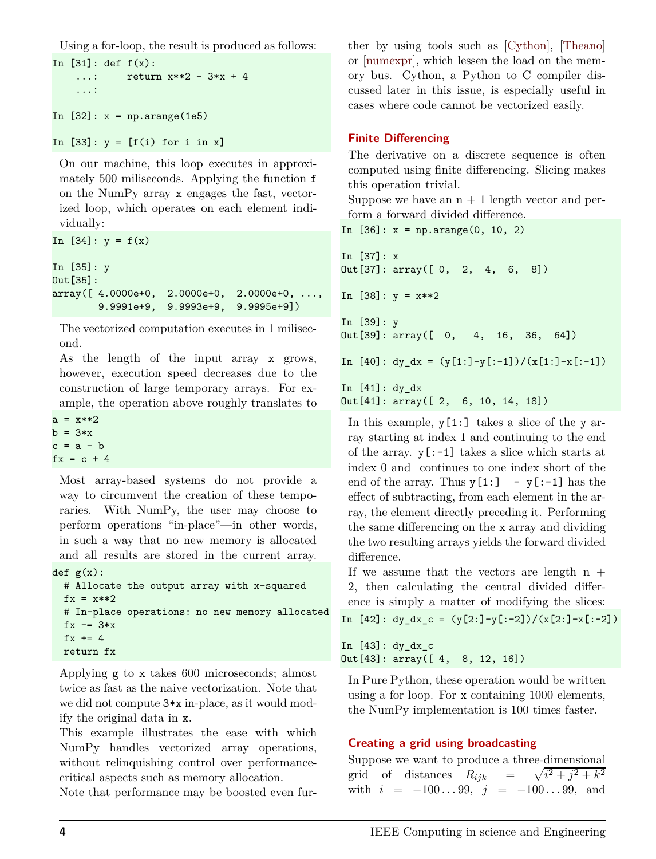Using a for-loop, the result is produced as follows:

```
In [31]: def f(x):
    ...: return x**2 - 3*x + 4...:
In [32]: x = np.arange(1e5)
```

```
In [33]: y = [f(i) for i in x]
```
On our machine, this loop executes in approximately 500 miliseconds. Applying the function f on the NumPy array x engages the fast, vectorized loop, which operates on each element individually:

```
In [34]: y = f(x)In [35]: y
Out[35]:
array([ 4.0000e+0, 2.0000e+0, 2.0000e+0, ...,
       9.9991e+9, 9.9993e+9, 9.9995e+9])
```
The vectorized computation executes in 1 milisecond.

As the length of the input array x grows, however, execution speed decreases due to the construction of large temporary arrays. For example, the operation above roughly translates to

```
a = x**2b = 3*xc = a - bfx = c + 4
```
Most array-based systems do not provide a way to circumvent the creation of these temporaries. With NumPy, the user may choose to perform operations "in-place"—in other words, in such a way that no new memory is allocated and all results are stored in the current array. def  $g(x)$ :

```
# Allocate the output array with x-squared
fx = x**2# In-place operations: no new memory allocated
fx - 3*x
fx += 4return fx
```
Applying g to x takes 600 microseconds; almost twice as fast as the naive vectorization. Note that we did not compute 3\*x in-place, as it would modify the original data in x.

This example illustrates the ease with which NumPy handles vectorized array operations, without relinquishing control over performancecritical aspects such as memory allocation.

Note that performance may be boosted even fur-

ther by using tools such as [\[Cython\]](#page-8-1), [\[Theano\]](#page-8-2) or [\[numexpr\]](#page-8-3), which lessen the load on the memory bus. Cython, a Python to C compiler discussed later in this issue, is especially useful in cases where code cannot be vectorized easily.

### **Finite Differencing**

The derivative on a discrete sequence is often computed using finite differencing. Slicing makes this operation trivial.

Suppose we have an  $n + 1$  length vector and perform a forward divided difference.

```
In [36]: x = np.arange(0, 10, 2)
```

```
In [37]: x
Out[37]: array([ 0, 2, 4, 6, 8])
In [38]: y = x**2In [39]: y
Out[39]: array([ 0, 4, 16, 36, 64])
In [40]: dy_dx = (y[1:] - y[-1])/(x[1:] - x[-1]))In [41]: dy dx
Out[41]: array([ 2, 6, 10, 14, 18])
```
In this example,  $y[1:]$  takes a slice of the y array starting at index 1 and continuing to the end of the array.  $y$ [:-1] takes a slice which starts at index 0 and continues to one index short of the end of the array. Thus  $y[1:] - y[-1]$  has the effect of subtracting, from each element in the array, the element directly preceding it. Performing the same differencing on the x array and dividing the two resulting arrays yields the forward divided difference.

If we assume that the vectors are length  $n +$ 2, then calculating the central divided difference is simply a matter of modifying the slices:

In  $[42]$ : dy\_dx\_c =  $(y[2:] - y[-2])/(x[2:] - x[-2])$ 

In [43]: dy\_dx\_c Out[43]: array([ 4, 8, 12, 16])

In Pure Python, these operation would be written using a for loop. For x containing 1000 elements, the NumPy implementation is 100 times faster.

# **Creating a grid using broadcasting**

Suppose we want to produce a three-dimensional grid of distances  $R_{ijk} = \sqrt{i^2 + j^2 + k^2}$ with  $i = -100...99$ ,  $j = -100...99$ , and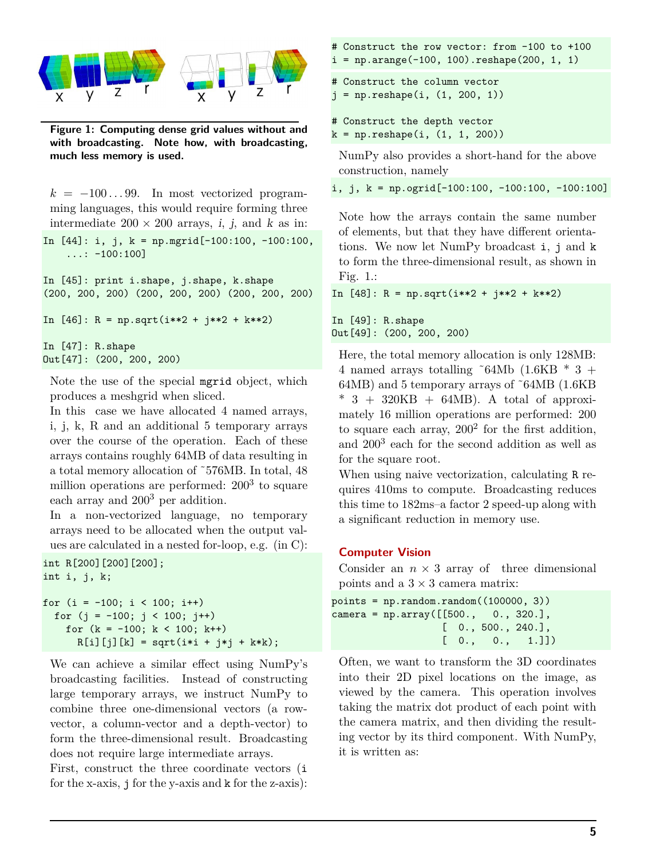

**Figure 1: Computing dense grid values without and with broadcasting. Note how, with broadcasting, much less memory is used.**

 $k = -100...99$ . In most vectorized programming languages, this would require forming three intermediate  $200 \times 200$  arrays, *i*, *j*, and *k* as in:

```
In [44]: i, j, k = np.mgrid[-100:100, -100:100,
    \ldots: -100:100]
```

```
In [45]: print i.shape, j.shape, k.shape
(200, 200, 200) (200, 200, 200) (200, 200, 200)
```

```
In [46]: R = np.sqrt(i**2 + j**2 + k**2)
```

```
In [47]: R.shape
Out[47]: (200, 200, 200)
```
Note the use of the special mgrid object, which produces a meshgrid when sliced.

In this case we have allocated 4 named arrays, i, j, k, R and an additional 5 temporary arrays over the course of the operation. Each of these arrays contains roughly 64MB of data resulting in a total memory allocation of ˜576MB. In total, 48 million operations are performed: 200<sup>3</sup> to square each array and 200<sup>3</sup> per addition.

In a non-vectorized language, no temporary arrays need to be allocated when the output values are calculated in a nested for-loop, e.g. (in C):

```
int R[200][200][200];
int i, j, k;
```
for  $(i = -100; i < 100; i++)$ for  $(j = -100; j < 100; j++)$ for  $(k = -100; k < 100; k++)$  $R[i][j][k] = sqrt(i*i + j*j + k*k);$ 

We can achieve a similar effect using NumPy's broadcasting facilities. Instead of constructing large temporary arrays, we instruct NumPy to combine three one-dimensional vectors (a rowvector, a column-vector and a depth-vector) to form the three-dimensional result. Broadcasting does not require large intermediate arrays.

First, construct the three coordinate vectors (i for the x-axis, j for the y-axis and k for the z-axis):

```
# Construct the row vector: from -100 to +100
i = np.arange(-100, 100).reshape(200, 1, 1)
```

```
# Construct the column vector
j = np.reshape(i, (1, 200, 1))
```

```
# Construct the depth vector
k = np.reshape(i, (1, 1, 200))
```
NumPy also provides a short-hand for the above construction, namely

i, j,  $k = np.ogrid[-100:100, -100:100, -100:100]$ 

Note how the arrays contain the same number of elements, but that they have different orientations. We now let NumPy broadcast i, j and k to form the three-dimensional result, as shown in Fig. 1.:

In  $[48]$ : R = np.sqrt(i\*\*2 + j\*\*2 + k\*\*2)

In [49]: R.shape Out[49]: (200, 200, 200)

Here, the total memory allocation is only 128MB: 4 named arrays totalling  $\degree$ 64Mb (1.6KB  $*$  3 + 64MB) and 5 temporary arrays of ˜64MB (1.6KB  $*$  3 + 320KB + 64MB). A total of approximately 16 million operations are performed: 200 to square each array,  $200^2$  for the first addition, and 200<sup>3</sup> each for the second addition as well as for the square root.

When using naive vectorization, calculating R requires 410ms to compute. Broadcasting reduces this time to 182ms–a factor 2 speed-up along with a significant reduction in memory use.

#### **Computer Vision**

Consider an  $n \times 3$  array of three dimensional points and a  $3 \times 3$  camera matrix:

```
points = np.random.random((100000, 3))\text{camera} = \text{np.array}([\text{[500.}, 0., 320.],[ 0., 500., 240.],
                    [0., 0., 1.]
```
Often, we want to transform the 3D coordinates into their 2D pixel locations on the image, as viewed by the camera. This operation involves taking the matrix dot product of each point with the camera matrix, and then dividing the resulting vector by its third component. With NumPy, it is written as: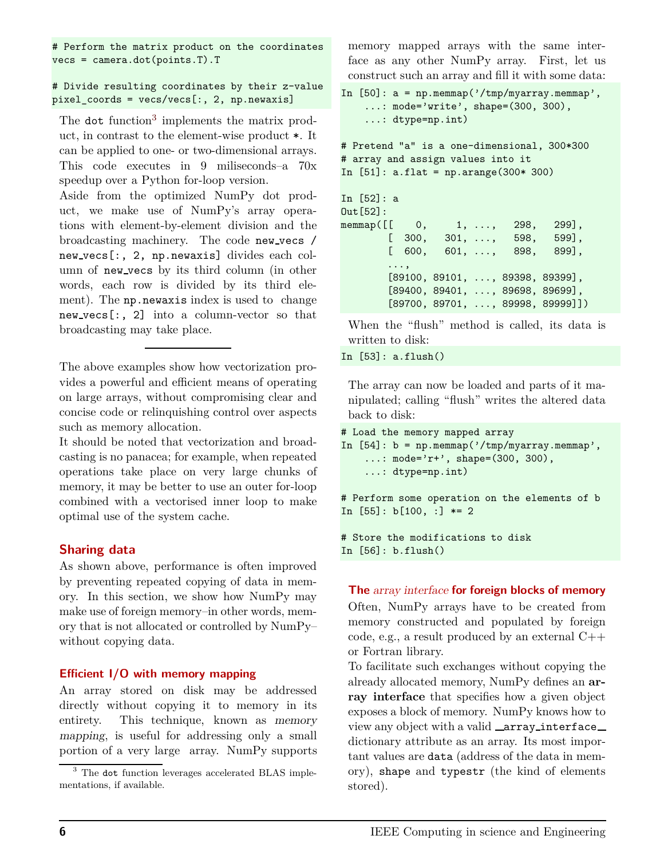# Perform the matrix product on the coordinates vecs = camera.dot(points.T).T

#### # Divide resulting coordinates by their z-value pixel\_coords = vecs/vecs[:, 2, np.newaxis]

The dot function<sup>[3](#page-6-0)</sup> implements the matrix product, in contrast to the element-wise product \*. It can be applied to one- or two-dimensional arrays. This code executes in 9 miliseconds–a 70x speedup over a Python for-loop version.

Aside from the optimized NumPy dot product, we make use of NumPy's array operations with element-by-element division and the broadcasting machinery. The code new vecs / new vecs[:, 2, np.newaxis] divides each column of new vecs by its third column (in other words, each row is divided by its third element). The np.newaxis index is used to change new vecs[:, 2] into a column-vector so that broadcasting may take place.

The above examples show how vectorization provides a powerful and efficient means of operating on large arrays, without compromising clear and concise code or relinquishing control over aspects such as memory allocation.

It should be noted that vectorization and broadcasting is no panacea; for example, when repeated operations take place on very large chunks of memory, it may be better to use an outer for-loop combined with a vectorised inner loop to make optimal use of the system cache.

# **Sharing data**

As shown above, performance is often improved by preventing repeated copying of data in memory. In this section, we show how NumPy may make use of foreign memory–in other words, memory that is not allocated or controlled by NumPy– without copying data.

#### **Efficient I/O with memory mapping**

An array stored on disk may be addressed directly without copying it to memory in its entirety. This technique, known as memory mapping, is useful for addressing only a small portion of a very large array. NumPy supports

memory mapped arrays with the same interface as any other NumPy array. First, let us construct such an array and fill it with some data:

```
In [50]: a = np . \text{memmap}('/\text{tmp/myarray. \text{memmap}'),...: mode='write', shape=(300, 300),
    ...: dtype=np.int)
# Pretend "a" is a one-dimensional, 300*300
# array and assign values into it
In [51]: a.flat = np.arange(300* 300)
In [52]: a
Out[52]:
memmap([[ 0, 1, ..., 298, 299],
        [ 300, 301, ..., 598, 599],
        [ 600, 601, ..., 898, 899],
        ...,
        [89100, 89101, ..., 89398, 89399],
        [89400, 89401, ..., 89698, 89699],
        [89700, 89701, ..., 89998, 89999]])
```
When the "flush" method is called, its data is written to disk:

In [53]: a.flush()

In [56]: b.flush()

The array can now be loaded and parts of it manipulated; calling "flush" writes the altered data back to disk:

```
# Load the memory mapped array
In [54]: b = np . \text{memmap}('/\text{tmp/myarray. \text{memmap}'),...: mode='r+', shape=(300, 300),
    ...: dtype=np.int)
# Perform some operation on the elements of b
In [55]: b[100, :] *= 2
# Store the modifications to disk
```
#### **The** array interface **for foreign blocks of memory**

Often, NumPy arrays have to be created from memory constructed and populated by foreign code, e.g., a result produced by an external C++ or Fortran library.

To facilitate such exchanges without copying the already allocated memory, NumPy defines an **array interface** that specifies how a given object exposes a block of memory. NumPy knows how to view any object with a valid \_array\_interface\_ dictionary attribute as an array. Its most important values are data (address of the data in memory), shape and typestr (the kind of elements stored).

<span id="page-6-0"></span><sup>3</sup> The dot function leverages accelerated BLAS implementations, if available.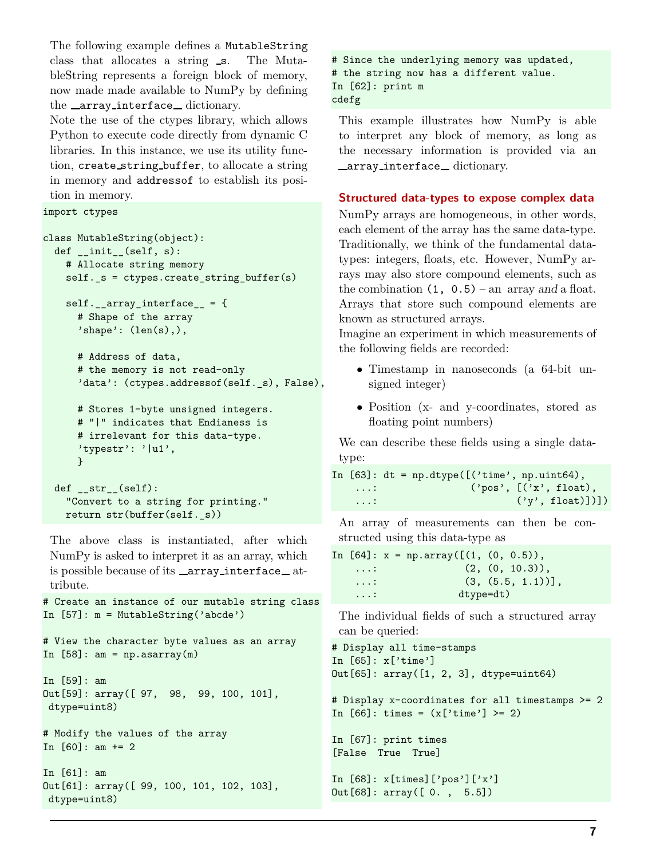The following example defines a MutableString class that allocates a string s. The MutableString represents a foreign block of memory, now made made available to NumPy by defining the \_array\_interface\_dictionary.

Note the use of the ctypes library, which allows Python to execute code directly from dynamic C libraries. In this instance, we use its utility function, create string buffer, to allocate a string in memory and addressof to establish its position in memory.

```
import ctypes
```

```
class MutableString(object):
  def __init__(self, s):# Allocate string memory
    self._s = ctypes.create_string_buffer(s)
    self._{array\_array\_interface\_ = \{}# Shape of the array
      'shape': (len(s),),# Address of data,
     # the memory is not read-only
      'data': (ctypes.addressof(self._s), False),
     # Stores 1-byte unsigned integers.
     # "|" indicates that Endianess is
     # irrelevant for this data-type.
     'typestr': '|u1',
     }
  def_{}}_"Convert to a string for printing."
```
return str(buffer(self.\_s)) The above class is instantiated, after which NumPy is asked to interpret it as an array, which is possible because of its \_array\_interface\_at-

```
tribute.
# Create an instance of our mutable string class
In [57]: m = MutableString('abcde')
# View the character byte values as an array
In [58]: am = np.asarray(m)
In [59]: am
Out[59]: array([ 97, 98, 99, 100, 101],
dtype=uint8)
# Modify the values of the array
In [60]: am += 2In [61]: am
Out[61]: array([ 99, 100, 101, 102, 103],
 dtype=uint8)
```
# Since the underlying memory was updated, # the string now has a different value. In [62]: print m cdefg

This example illustrates how NumPy is able to interpret any block of memory, as long as the necessary information is provided via an \_array\_interface\_dictionary.

### **Structured data-types to expose complex data**

NumPy arrays are homogeneous, in other words, each element of the array has the same data-type. Traditionally, we think of the fundamental datatypes: integers, floats, etc. However, NumPy arrays may also store compound elements, such as the combination  $(1, 0.5)$  – an array and a float. Arrays that store such compound elements are known as structured arrays.

Imagine an experiment in which measurements of the following fields are recorded:

- Timestamp in nanoseconds (a 64-bit unsigned integer)
- Position (x- and y-coordinates, stored as floating point numbers)

We can describe these fields using a single datatype:

```
In [63]: dt = np.dtype([('time', np.unit64),...: ('pos', [('x', float),...: ('y', float)]
```
An array of measurements can then be constructed using this data-type as

```
In [64]: x = np.array([1, (0, 0.5)),\ldots: (2, (0, 10.3)),
   \ldots: (3, (5.5, 1.1))],
   ...: dtype=dt)
```
The individual fields of such a structured array can be queried:

```
# Display all time-stamps
In [65]: x['time']
Out[65]: array([1, 2, 3], dtype=uint64)
# Display x-coordinates for all timestamps >= 2
In [66]: times = (x['time'] > = 2)
```

```
In [67]: print times
[False True True]
```

```
In [68]: x[times]['pos']['x']
Out[68]: array([ 0. , 5.5])
```